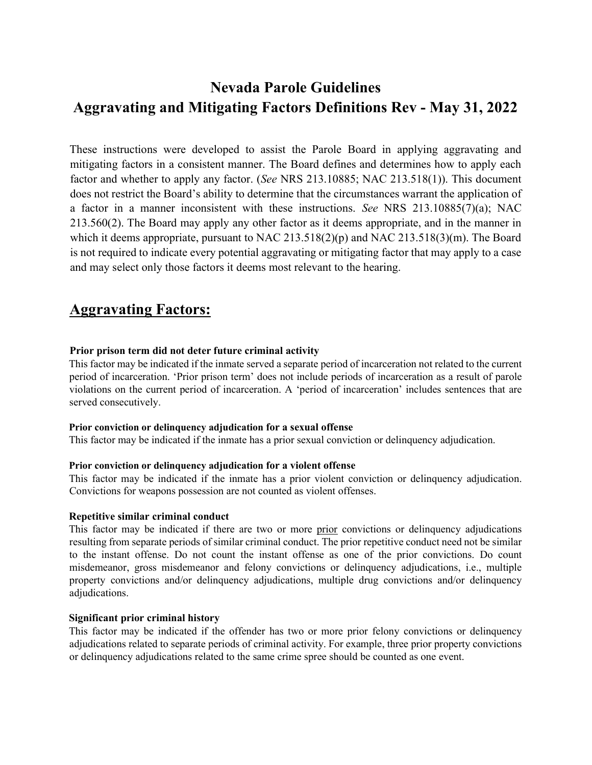These instructions were developed to assist the Parole Board in applying aggravating and mitigating factors in a consistent manner. The Board defines and determines how to apply each factor and whether to apply any factor. (See NRS 213.10885; NAC 213.518(1)). This document does not restrict the Board's ability to determine that the circumstances warrant the application of a factor in a manner inconsistent with these instructions. See NRS 213.10885(7)(a); NAC 213.560(2). The Board may apply any other factor as it deems appropriate, and in the manner in which it deems appropriate, pursuant to NAC 213.518(2)(p) and NAC 213.518(3)(m). The Board is not required to indicate every potential aggravating or mitigating factor that may apply to a case and may select only those factors it deems most relevant to the hearing.

## Aggravating Factors:

#### Prior prison term did not deter future criminal activity

This factor may be indicated if the inmate served a separate period of incarceration not related to the current period of incarceration. 'Prior prison term' does not include periods of incarceration as a result of parole violations on the current period of incarceration. A 'period of incarceration' includes sentences that are served consecutively.

#### Prior conviction or delinquency adjudication for a sexual offense

This factor may be indicated if the inmate has a prior sexual conviction or delinquency adjudication.

#### Prior conviction or delinquency adjudication for a violent offense

This factor may be indicated if the inmate has a prior violent conviction or delinquency adjudication. Convictions for weapons possession are not counted as violent offenses.

#### Repetitive similar criminal conduct

This factor may be indicated if there are two or more prior convictions or delinquency adjudications resulting from separate periods of similar criminal conduct. The prior repetitive conduct need not be similar to the instant offense. Do not count the instant offense as one of the prior convictions. Do count misdemeanor, gross misdemeanor and felony convictions or delinquency adjudications, i.e., multiple property convictions and/or delinquency adjudications, multiple drug convictions and/or delinquency adjudications.

#### Significant prior criminal history

This factor may be indicated if the offender has two or more prior felony convictions or delinquency adjudications related to separate periods of criminal activity. For example, three prior property convictions or delinquency adjudications related to the same crime spree should be counted as one event.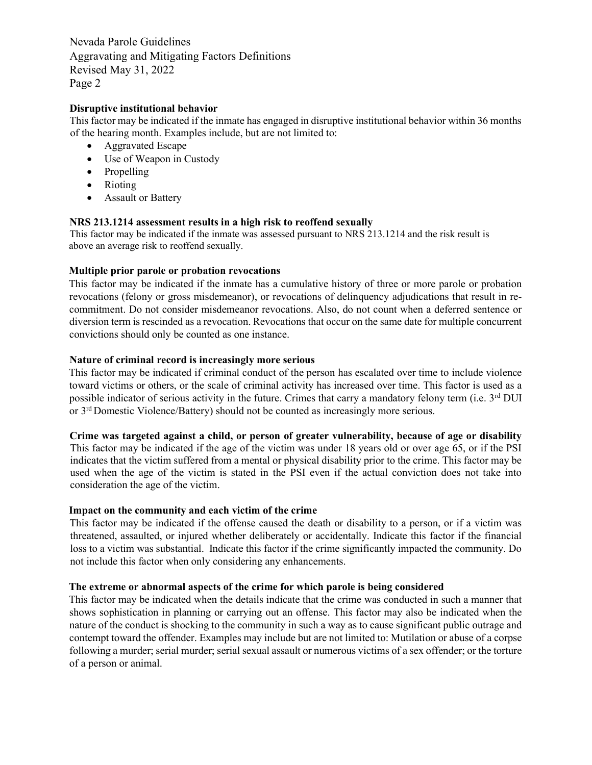#### Disruptive institutional behavior

This factor may be indicated if the inmate has engaged in disruptive institutional behavior within 36 months of the hearing month. Examples include, but are not limited to:

- Aggravated Escape
- Use of Weapon in Custody
- Propelling
- Rioting
- Assault or Battery

#### NRS 213.1214 assessment results in a high risk to reoffend sexually

This factor may be indicated if the inmate was assessed pursuant to NRS 213.1214 and the risk result is above an average risk to reoffend sexually.

#### Multiple prior parole or probation revocations

This factor may be indicated if the inmate has a cumulative history of three or more parole or probation revocations (felony or gross misdemeanor), or revocations of delinquency adjudications that result in recommitment. Do not consider misdemeanor revocations. Also, do not count when a deferred sentence or diversion term is rescinded as a revocation. Revocations that occur on the same date for multiple concurrent convictions should only be counted as one instance.

#### Nature of criminal record is increasingly more serious

This factor may be indicated if criminal conduct of the person has escalated over time to include violence toward victims or others, or the scale of criminal activity has increased over time. This factor is used as a possible indicator of serious activity in the future. Crimes that carry a mandatory felony term (i.e. 3<sup>rd</sup> DUI or 3rd Domestic Violence/Battery) should not be counted as increasingly more serious.

#### Crime was targeted against a child, or person of greater vulnerability, because of age or disability

This factor may be indicated if the age of the victim was under 18 years old or over age 65, or if the PSI indicates that the victim suffered from a mental or physical disability prior to the crime. This factor may be used when the age of the victim is stated in the PSI even if the actual conviction does not take into consideration the age of the victim.

#### Impact on the community and each victim of the crime

This factor may be indicated if the offense caused the death or disability to a person, or if a victim was threatened, assaulted, or injured whether deliberately or accidentally. Indicate this factor if the financial loss to a victim was substantial. Indicate this factor if the crime significantly impacted the community. Do not include this factor when only considering any enhancements.

#### The extreme or abnormal aspects of the crime for which parole is being considered

This factor may be indicated when the details indicate that the crime was conducted in such a manner that shows sophistication in planning or carrying out an offense. This factor may also be indicated when the nature of the conduct is shocking to the community in such a way as to cause significant public outrage and contempt toward the offender. Examples may include but are not limited to: Mutilation or abuse of a corpse following a murder; serial murder; serial sexual assault or numerous victims of a sex offender; or the torture of a person or animal.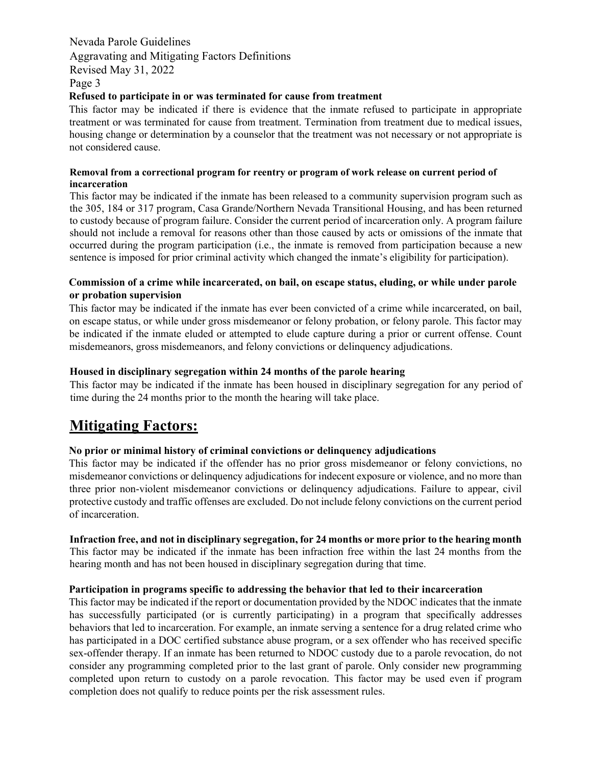#### Refused to participate in or was terminated for cause from treatment

This factor may be indicated if there is evidence that the inmate refused to participate in appropriate treatment or was terminated for cause from treatment. Termination from treatment due to medical issues, housing change or determination by a counselor that the treatment was not necessary or not appropriate is not considered cause.

#### Removal from a correctional program for reentry or program of work release on current period of incarceration

This factor may be indicated if the inmate has been released to a community supervision program such as the 305, 184 or 317 program, Casa Grande/Northern Nevada Transitional Housing, and has been returned to custody because of program failure. Consider the current period of incarceration only. A program failure should not include a removal for reasons other than those caused by acts or omissions of the inmate that occurred during the program participation (i.e., the inmate is removed from participation because a new sentence is imposed for prior criminal activity which changed the inmate's eligibility for participation).

#### Commission of a crime while incarcerated, on bail, on escape status, eluding, or while under parole or probation supervision

This factor may be indicated if the inmate has ever been convicted of a crime while incarcerated, on bail, on escape status, or while under gross misdemeanor or felony probation, or felony parole. This factor may be indicated if the inmate eluded or attempted to elude capture during a prior or current offense. Count misdemeanors, gross misdemeanors, and felony convictions or delinquency adjudications.

#### Housed in disciplinary segregation within 24 months of the parole hearing

This factor may be indicated if the inmate has been housed in disciplinary segregation for any period of time during the 24 months prior to the month the hearing will take place.

## Mitigating Factors:

#### No prior or minimal history of criminal convictions or delinquency adjudications

This factor may be indicated if the offender has no prior gross misdemeanor or felony convictions, no misdemeanor convictions or delinquency adjudications for indecent exposure or violence, and no more than three prior non-violent misdemeanor convictions or delinquency adjudications. Failure to appear, civil protective custody and traffic offenses are excluded. Do not include felony convictions on the current period of incarceration.

#### Infraction free, and not in disciplinary segregation, for 24 months or more prior to the hearing month

This factor may be indicated if the inmate has been infraction free within the last 24 months from the hearing month and has not been housed in disciplinary segregation during that time.

#### Participation in programs specific to addressing the behavior that led to their incarceration

This factor may be indicated if the report or documentation provided by the NDOC indicates that the inmate has successfully participated (or is currently participating) in a program that specifically addresses behaviors that led to incarceration. For example, an inmate serving a sentence for a drug related crime who has participated in a DOC certified substance abuse program, or a sex offender who has received specific sex-offender therapy. If an inmate has been returned to NDOC custody due to a parole revocation, do not consider any programming completed prior to the last grant of parole. Only consider new programming completed upon return to custody on a parole revocation. This factor may be used even if program completion does not qualify to reduce points per the risk assessment rules.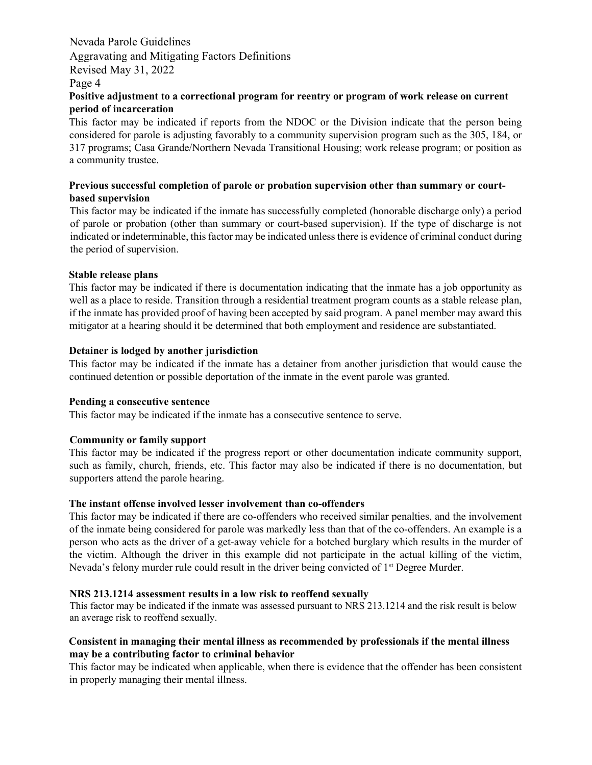#### Positive adjustment to a correctional program for reentry or program of work release on current period of incarceration

This factor may be indicated if reports from the NDOC or the Division indicate that the person being considered for parole is adjusting favorably to a community supervision program such as the 305, 184, or 317 programs; Casa Grande/Northern Nevada Transitional Housing; work release program; or position as a community trustee.

#### Previous successful completion of parole or probation supervision other than summary or courtbased supervision

This factor may be indicated if the inmate has successfully completed (honorable discharge only) a period of parole or probation (other than summary or court-based supervision). If the type of discharge is not indicated or indeterminable, this factor may be indicated unless there is evidence of criminal conduct during the period of supervision.

#### Stable release plans

This factor may be indicated if there is documentation indicating that the inmate has a job opportunity as well as a place to reside. Transition through a residential treatment program counts as a stable release plan, if the inmate has provided proof of having been accepted by said program. A panel member may award this mitigator at a hearing should it be determined that both employment and residence are substantiated.

#### Detainer is lodged by another jurisdiction

This factor may be indicated if the inmate has a detainer from another jurisdiction that would cause the continued detention or possible deportation of the inmate in the event parole was granted.

#### Pending a consecutive sentence

This factor may be indicated if the inmate has a consecutive sentence to serve.

#### Community or family support

This factor may be indicated if the progress report or other documentation indicate community support, such as family, church, friends, etc. This factor may also be indicated if there is no documentation, but supporters attend the parole hearing.

#### The instant offense involved lesser involvement than co-offenders

This factor may be indicated if there are co-offenders who received similar penalties, and the involvement of the inmate being considered for parole was markedly less than that of the co-offenders. An example is a person who acts as the driver of a get-away vehicle for a botched burglary which results in the murder of the victim. Although the driver in this example did not participate in the actual killing of the victim, Nevada's felony murder rule could result in the driver being convicted of  $1<sup>st</sup>$  Degree Murder.

#### NRS 213.1214 assessment results in a low risk to reoffend sexually

This factor may be indicated if the inmate was assessed pursuant to NRS 213.1214 and the risk result is below an average risk to reoffend sexually.

#### Consistent in managing their mental illness as recommended by professionals if the mental illness may be a contributing factor to criminal behavior

This factor may be indicated when applicable, when there is evidence that the offender has been consistent in properly managing their mental illness.